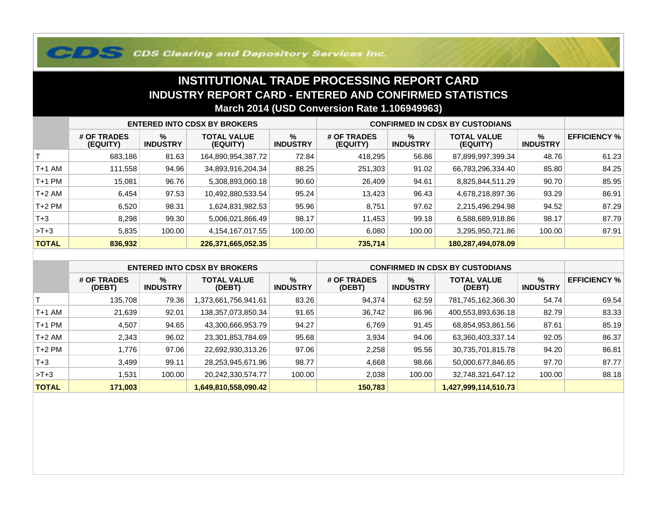## **COS Clearing and Depository Services Inc.**

## **INSTITUTIONAL TRADE PROCESSING REPORT CARD INDUSTRY REPORT CARD - ENTERED AND CONFIRMED STATISTICSMarch 2014 (USD Conversion Rate 1.106949963)**

|              | <b>ENTERED INTO CDSX BY BROKERS</b> |                         |                                |                         | <b>CONFIRMED IN CDSX BY CUSTODIANS</b> |                      |                                |                      |                     |
|--------------|-------------------------------------|-------------------------|--------------------------------|-------------------------|----------------------------------------|----------------------|--------------------------------|----------------------|---------------------|
|              | # OF TRADES<br>(EQUITY)             | $\%$<br><b>INDUSTRY</b> | <b>TOTAL VALUE</b><br>(EQUITY) | $\%$<br><b>INDUSTRY</b> | # OF TRADES<br>(EQUITY)                | %<br><b>INDUSTRY</b> | <b>TOTAL VALUE</b><br>(EQUITY) | %<br><b>INDUSTRY</b> | <b>EFFICIENCY %</b> |
|              | 683,186                             | 81.63                   | 164,890,954,387.72             | 72.84                   | 418,295                                | 56.86                | 87,899,997,399.34              | 48.76                | 61.23               |
| T+1 AM       | 111,558                             | 94.96                   | 34,893,916,204.34              | 88.25                   | 251,303                                | 91.02                | 66,783,296,334.40              | 85.80                | 84.25               |
| T+1 PM       | 15,081                              | 96.76                   | 5,308,893,060.18               | 90.60                   | 26,409                                 | 94.61                | 8,825,844,511.29               | 90.70                | 85.95               |
| T+2 AM       | 6,454                               | 97.53                   | 10,492,880,533.54              | 95.24                   | 13,423                                 | 96.43                | 4,678,218,897.36               | 93.29                | 86.91               |
| $T+2$ PM     | 6,520                               | 98.31                   | 1,624,831,982.53               | 95.96                   | 8,751                                  | 97.62                | 2,215,496,294.98               | 94.52                | 87.29               |
| $T+3$        | 8.298                               | 99.30                   | 5,006,021,866.49               | 98.17                   | 11,453                                 | 99.18                | 6,588,689,918.86               | 98.17                | 87.79               |
| $>T+3$       | 5,835                               | 100.00                  | 4,154,167,017.55               | 100.00                  | 6,080                                  | 100.00               | 3,295,950,721.86               | 100.00               | 87.91               |
| <b>TOTAL</b> | 836,932                             |                         | 226,371,665,052.35             |                         | 735,714                                |                      | 180,287,494,078.09             |                      |                     |

|              | <b>ENTERED INTO CDSX BY BROKERS</b> |                         |                              |                         | <b>CONFIRMED IN CDSX BY CUSTODIANS</b> |                         |                              |                         |                     |
|--------------|-------------------------------------|-------------------------|------------------------------|-------------------------|----------------------------------------|-------------------------|------------------------------|-------------------------|---------------------|
|              | # OF TRADES<br>(DEBT)               | $\%$<br><b>INDUSTRY</b> | <b>TOTAL VALUE</b><br>(DEBT) | $\%$<br><b>INDUSTRY</b> | # OF TRADES<br>(DEBT)                  | $\%$<br><b>INDUSTRY</b> | <b>TOTAL VALUE</b><br>(DEBT) | $\%$<br><b>INDUSTRY</b> | <b>EFFICIENCY %</b> |
|              | 135.708                             | 79.36                   | 16.1941.661,756,941.61       | 83.26                   | 94,374                                 | 62.59                   | 781,745,162,366.30           | 54.74                   | 69.54               |
| $T+1$ AM     | 21,639                              | 92.01                   | 138,357,073,850.34           | 91.65                   | 36,742                                 | 86.96                   | 400,553,893,636.18           | 82.79                   | 83.33               |
| $T+1$ PM     | 4,507                               | 94.65                   | 43,300,666,953.79            | 94.27                   | 6,769                                  | 91.45                   | 68,854,953,861.56            | 87.61                   | 85.19               |
| $T+2$ AM     | 2,343                               | 96.02                   | 23,301,853,784.69            | 95.68                   | 3,934                                  | 94.06                   | 63,360,403,337.14            | 92.05                   | 86.37               |
| $T+2$ PM     | 776. ا                              | 97.06                   | 22,692,930,313.26            | 97.06                   | 2,258                                  | 95.56                   | 30,735,701,815.78            | 94.20                   | 86.81               |
| $T+3$        | 3,499                               | 99.11                   | 28,253,945,671.96            | 98.77                   | 4,668                                  | 98.66                   | 50,000,677,846.65            | 97.70                   | 87.77               |
| $>T+3$       | .531                                | 100.00                  | 20,242,330,574.77            | 100.00                  | 2,038                                  | 100.00                  | 32,748,321,647.12            | 100.00                  | 88.18               |
| <b>TOTAL</b> | 171,003                             |                         | 1,649,810,558,090.42         |                         | 150,783                                |                         | 1,427,999,114,510.73         |                         |                     |